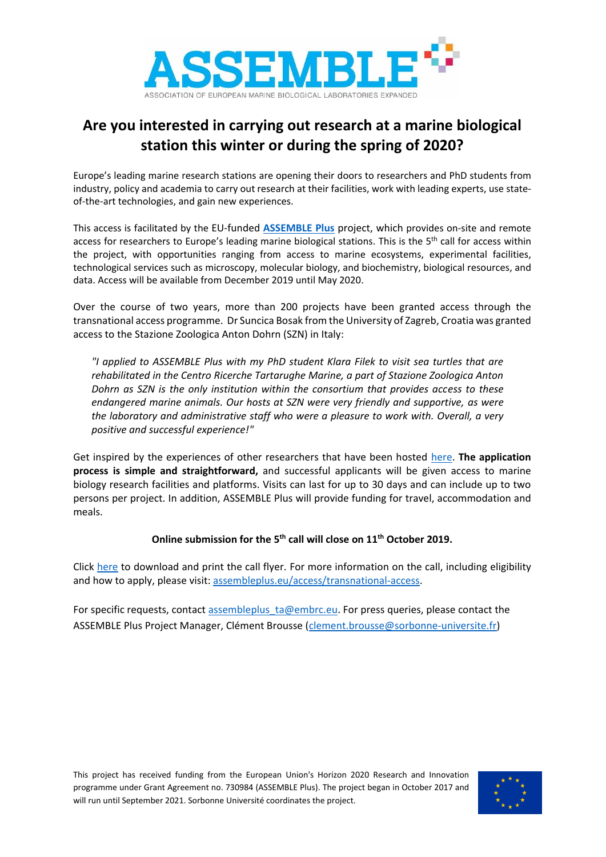

## **Are you interested in carrying out research at a marine biological station this winter or during the spring of 2020?**

Europe's leading marine research stations are opening their doors to researchers and PhD students from industry, policy and academia to carry out research at their facilities, work with leading experts, use stateof-the-art technologies, and gain new experiences.

This access is facilitated by the EU-funded **[ASSEMBLE Plus](http://www.assembleplus.eu/)** project, which provides on-site and remote access for researchers to Europe's leading marine biological stations. This is the 5<sup>th</sup> call for access within the project, with opportunities ranging from access to marine ecosystems, experimental facilities, technological services such as microscopy, molecular biology, and biochemistry, biological resources, and data. Access will be available from December 2019 until May 2020.

Over the course of two years, more than 200 projects have been granted access through the transnational access programme. Dr Suncica Bosak from the University of Zagreb, Croatia was granted access to the Stazione Zoologica Anton Dohrn (SZN) in Italy:

*"I applied to ASSEMBLE Plus with my PhD student Klara Filek to visit sea turtles that are rehabilitated in the Centro Ricerche Tartarughe Marine, a part of Stazione Zoologica Anton Dohrn as SZN is the only institution within the consortium that provides access to these endangered marine animals. Our hosts at SZN were very friendly and supportive, as were the laboratory and administrative staff who were a pleasure to work with. Overall, a very positive and successful experience!"*

Get inspired by the experiences of other researchers that have been hosted [here.](http://www.assembleplus.eu/access/success-stories) **The application process is simple and straightforward,** and successful applicants will be given access to marine biology research facilities and platforms. Visits can last for up to 30 days and can include up to two persons per project. In addition, ASSEMBLE Plus will provide funding for travel, accommodation and meals.

## **Online submission for the 5th call will close on 11th October 2019.**

Click [here](http://www.assembleplus.eu/file/assemble-plus-5th-call-flyer190619v02pdf) to download and print the call flyer. For more information on the call, including eligibility and how to apply, please visit: [assembleplus.eu/access/transnational-access.](http://www.assembleplus.eu/access/transnational-access)

For specific requests, contact [assembleplus\\_ta@embrc.eu.](mailto:assembleplus_ta@embrc.eu) For press queries, please contact the ASSEMBLE Plus Project Manager, Clément Brousse [\(clement.brousse@sorbonne-universite.fr\)](mailto:clement.brousse@sorbonne-universite.fr)